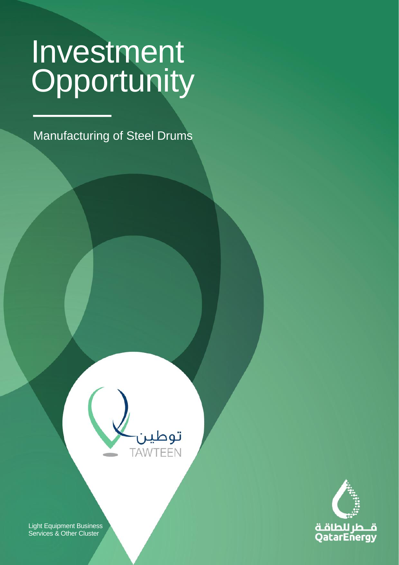CLASSIFICATION: C2 - CONFIDENTIAL

Manufacturing of Steel Drums

**Light Equipment Business** 

**Services & Other**





Light Equipment Business Services & Other Cluster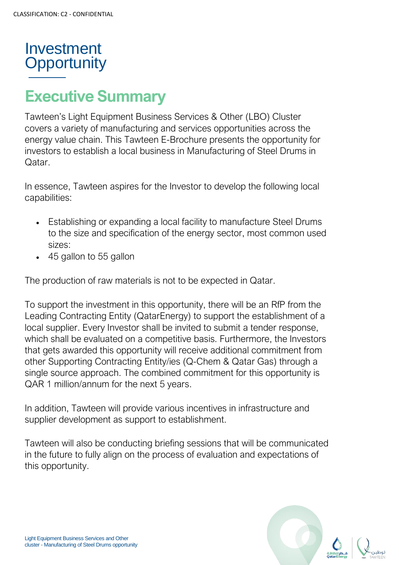# **Executive Summary**

Tawteen's Light Equipment Business Services & Other (LBO) Cluster covers a variety of manufacturing and services opportunities across the energy value chain. This Tawteen E-Brochure presents the opportunity for investors to establish a local business in Manufacturing of Steel Drums in Qatar.

In essence, Tawteen aspires for the Investor to develop the following local capabilities:

- Establishing or expanding a local facility to manufacture Steel Drums to the size and specification of the energy sector, most common used sizes:
- 45 gallon to 55 gallon

The production of raw materials is not to be expected in Qatar.

To support the investment in this opportunity, there will be an RfP from the Leading Contracting Entity (QatarEnergy) to support the establishment of a local supplier. Every Investor shall be invited to submit a tender response, which shall be evaluated on a competitive basis. Furthermore, the Investors that gets awarded this opportunity will receive additional commitment from other Supporting Contracting Entity/ies (Q-Chem & Qatar Gas) through a single source approach. The combined commitment for this opportunity is QAR 1 million/annum for the next 5 years.

In addition, Tawteen will provide various incentives in infrastructure and supplier development as support to establishment.

Tawteen will also be conducting briefing sessions that will be communicated in the future to fully align on the process of evaluation and expectations of this opportunity.

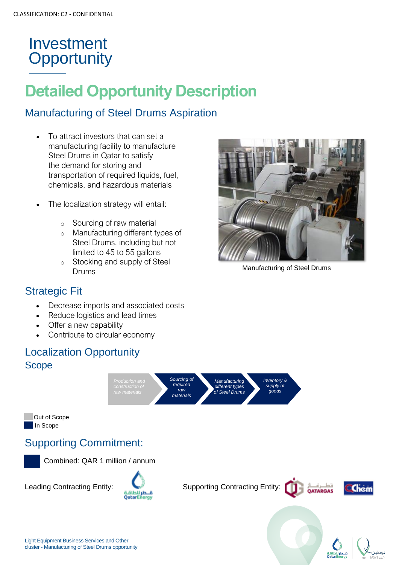# **Detailed Opportunity Description**

#### Manufacturing of Steel Drums Aspiration

- To attract investors that can set a manufacturing facility to manufacture Steel Drums in Qatar to satisfy the demand for storing and transportation of required liquids, fuel, chemicals, and hazardous materials
- The localization strategy will entail:
	- o Sourcing of raw material
	- o Manufacturing different types of Steel Drums, including but not limited to 45 to 55 gallons
	- o Stocking and supply of Steel Drums



Manufacturing of Steel Drums

#### Strategic Fit

- Decrease imports and associated costs
- Reduce logistics and lead times
- Offer a new capability
- Contribute to circular economy

#### Localization Opportunity Scope



#### Supporting Commitment:



**Out of Scope** 

In Scope

Combined: QAR 1 million / annum

Leading Contracting Entity:<br>**Canter Contracting Entity:**<br>**CatarEnergy** 





**OATARGAS**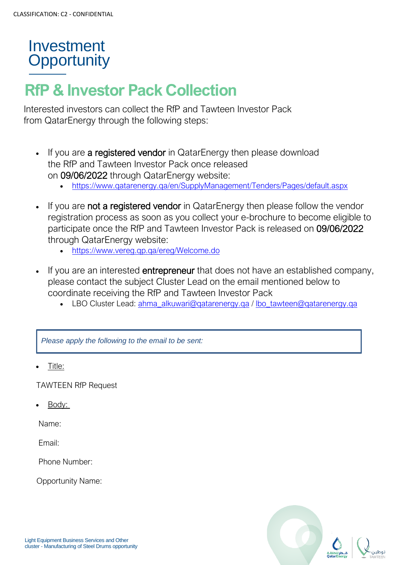# **RfP & Investor Pack Collection**

Interested investors can collect the RfP and Tawteen Investor Pack from QatarEnergy through the following steps:

- If you are a registered vendor in QatarEnergy then please download the RfP and Tawteen Investor Pack once released on 09/06/2022 through QatarEnergy website:
	- <https://www.qatarenergy.qa/en/SupplyManagement/Tenders/Pages/default.aspx>
- If you are **not a registered vendor** in QatarEnergy then please follow the vendor registration process as soon as you collect your e-brochure to become eligible to participate once the RfP and Tawteen Investor Pack is released on 09/06/2022 through QatarEnergy website:
	- <https://www.vereg.qp.qa/ereg/Welcome.do>
- If you are an interested **entrepreneur** that does not have an established company, please contact the subject Cluster Lead on the email mentioned below to coordinate receiving the RfP and Tawteen Investor Pack
	- LBO Cluster Lead: [ahma\\_alkuwari@qatarenergy.qa](mailto:ahma_alkuwari@qatarenergy.qa) / [lbo\\_tawteen@qatarenergy.qa](mailto:lbo_tawteen@qatarenergy.qa)

*Please apply the following to the email to be sent:* 

• Title:

TAWTEEN RfP Request

• Body:

Name:

Email:

Phone Number:

Opportunity Name: